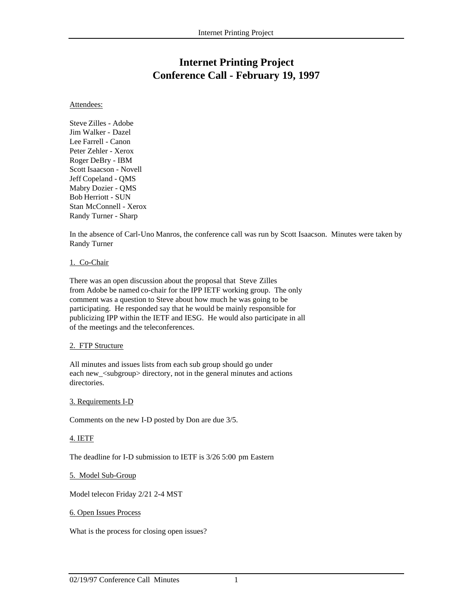# **Internet Printing Project Conference Call - February 19, 1997**

#### Attendees:

Steve Zilles - Adobe Jim Walker - Dazel Lee Farrell - Canon Peter Zehler - Xerox Roger DeBry - IBM Scott Isaacson - Novell Jeff Copeland - QMS Mabry Dozier - QMS Bob Herriott - SUN Stan McConnell - Xerox Randy Turner - Sharp

In the absence of Carl-Uno Manros, the conference call was run by Scott Isaacson. Minutes were taken by Randy Turner

#### 1. Co-Chair

There was an open discussion about the proposal that Steve Zilles from Adobe be named co-chair for the IPP IETF working group. The only comment was a question to Steve about how much he was going to be participating. He responded say that he would be mainly responsible for publicizing IPP within the IETF and IESG. He would also participate in all of the meetings and the teleconferences.

# 2. FTP Structure

All minutes and issues lists from each sub group should go under each new\_<subgroup> directory, not in the general minutes and actions directories.

# 3. Requirements I-D

Comments on the new I-D posted by Don are due 3/5.

# 4. IETF

The deadline for I-D submission to IETF is 3/26 5:00 pm Eastern

# 5. Model Sub-Group

Model telecon Friday 2/21 2-4 MST

#### 6. Open Issues Process

What is the process for closing open issues?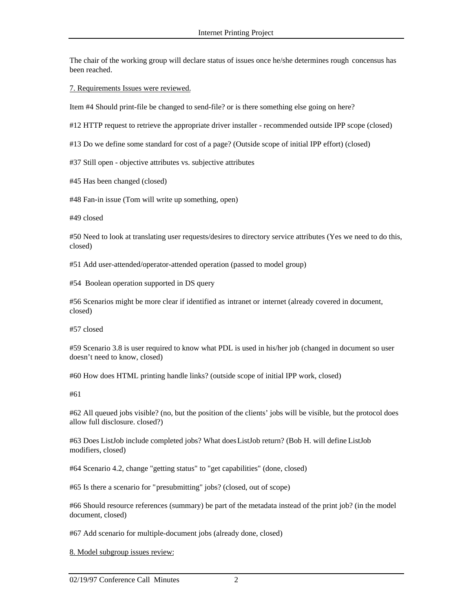The chair of the working group will declare status of issues once he/she determines rough concensus has been reached.

7. Requirements Issues were reviewed.

Item #4 Should print-file be changed to send-file? or is there something else going on here?

#12 HTTP request to retrieve the appropriate driver installer - recommended outside IPP scope (closed)

#13 Do we define some standard for cost of a page? (Outside scope of initial IPP effort) (closed)

#37 Still open - objective attributes vs. subjective attributes

#45 Has been changed (closed)

#48 Fan-in issue (Tom will write up something, open)

#49 closed

#50 Need to look at translating user requests/desires to directory service attributes (Yes we need to do this, closed)

#51 Add user-attended/operator-attended operation (passed to model group)

#54 Boolean operation supported in DS query

#56 Scenarios might be more clear if identified as intranet or internet (already covered in document, closed)

#57 closed

#59 Scenario 3.8 is user required to know what PDL is used in his/her job (changed in document so user doesn't need to know, closed)

#60 How does HTML printing handle links? (outside scope of initial IPP work, closed)

#61

#62 All queued jobs visible? (no, but the position of the clients' jobs will be visible, but the protocol does allow full disclosure. closed?)

#63 Does ListJob include completed jobs? What does ListJob return? (Bob H. will define ListJob modifiers, closed)

#64 Scenario 4.2, change "getting status" to "get capabilities" (done, closed)

#65 Is there a scenario for "presubmitting" jobs? (closed, out of scope)

#66 Should resource references (summary) be part of the metadata instead of the print job? (in the model document, closed)

#67 Add scenario for multiple-document jobs (already done, closed)

8. Model subgroup issues review: